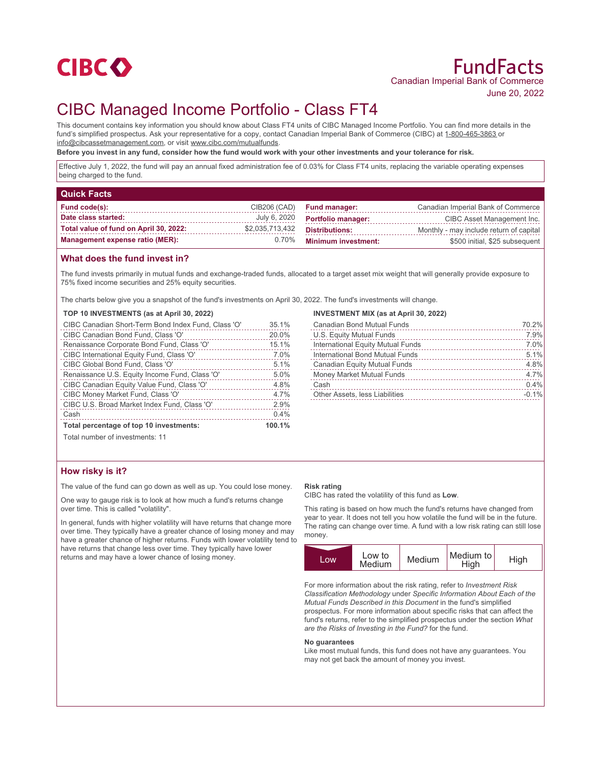

# CIBC Managed Income Portfolio - Class FT4

This document contains key information you should know about Class FT4 units of CIBC Managed Income Portfolio. You can find more details in the fund's simplified prospectus. Ask your representative for a copy, contact Canadian Imperial Bank of Commerce (CIBC) at 1-800-465-3863 or info@cibcassetmanagement.com, or visit www.cibc.com/mutualfunds.

**Before you invest in any fund, consider how the fund would work with your other investments and your tolerance for risk.**

Effective July 1, 2022, the fund will pay an annual fixed administration fee of 0.03% for Class FT4 units, replacing the variable operating expenses being charged to the fund.

| <b>Quick Facts</b>                     |                 |                                                                  |                                    |
|----------------------------------------|-----------------|------------------------------------------------------------------|------------------------------------|
| Fund code(s):                          | CIB206 (CAD)    | <b>Fund manager:</b>                                             | Canadian Imperial Bank of Commerce |
| Date class started:                    | July 6, 2020    | <b>Portfolio manager:</b>                                        | CIBC Asset Management Inc.         |
| Total value of fund on April 30, 2022: | \$2,035,713,432 | <b>Distributions:</b><br>Monthly - may include return of capital |                                    |
| <b>Management expense ratio (MER):</b> | $0.70\%$        | <b>Minimum investment:</b>                                       | \$500 initial, \$25 subsequent     |

## **What does the fund invest in?**

The fund invests primarily in mutual funds and exchange-traded funds, allocated to a target asset mix weight that will generally provide exposure to 75% fixed income securities and 25% equity securities.

The charts below give you a snapshot of the fund's investments on April 30, 2022. The fund's investments will change.

### **TOP 10 INVESTMENTS (as at April 30, 2022)**

| CIBC Canadian Short-Term Bond Index Fund, Class 'O' | 35.1%  |
|-----------------------------------------------------|--------|
| CIBC Canadian Bond Fund, Class 'O'                  | 20.0%  |
| Renaissance Corporate Bond Fund, Class 'O'          | 15.1%  |
| CIBC International Equity Fund, Class 'O'           | 7.0%   |
| CIBC Global Bond Fund, Class 'O'                    | 5.1%   |
| Renaissance U.S. Equity Income Fund, Class 'O'      | 5.0%   |
| CIBC Canadian Equity Value Fund, Class 'O'          | 4.8%   |
| CIBC Money Market Fund, Class 'O'                   | 4.7%   |
| CIBC U.S. Broad Market Index Fund, Class 'O'        | 2.9%   |
| Cash                                                | 0.4%   |
| Total percentage of top 10 investments:             | 100.1% |
|                                                     |        |

#### **INVESTMENT MIX (as at April 30, 2022)**

| <b>Canadian Bond Mutual Funds</b>   | 70.2%   |
|-------------------------------------|---------|
| U.S. Equity Mutual Funds            | 7.9%    |
| International Equity Mutual Funds   | 7.0%    |
| International Bond Mutual Funds     | 5.1%    |
| <b>Canadian Equity Mutual Funds</b> | 4.8%    |
| <b>Money Market Mutual Funds</b>    | 4.7%    |
| Cash                                | 0.4%    |
| Other Assets, less Liabilities      | $-0.1%$ |
|                                     |         |

Total number of investments: 11

# **How risky is it?**

The value of the fund can go down as well as up. You could lose money.

One way to gauge risk is to look at how much a fund's returns change over time. This is called "volatility".

In general, funds with higher volatility will have returns that change more over time. They typically have a greater chance of losing money and may have a greater chance of higher returns. Funds with lower volatility tend to have returns that change less over time. They typically have lower returns and may have a lower chance of losing money.

### **Risk rating**

CIBC has rated the volatility of this fund as **Low**.

This rating is based on how much the fund's returns have changed from year to year. It does not tell you how volatile the fund will be in the future. The rating can change over time. A fund with a low risk rating can still lose money.



For more information about the risk rating, refer to *Investment Risk Classification Methodology* under *Specific Information About Each of the Mutual Funds Described in this Document* in the fund's simplified prospectus. For more information about specific risks that can affect the fund's returns, refer to the simplified prospectus under the section *What are the Risks of Investing in the Fund?* for the fund.

#### **No guarantees**

Like most mutual funds, this fund does not have any guarantees. You may not get back the amount of money you invest.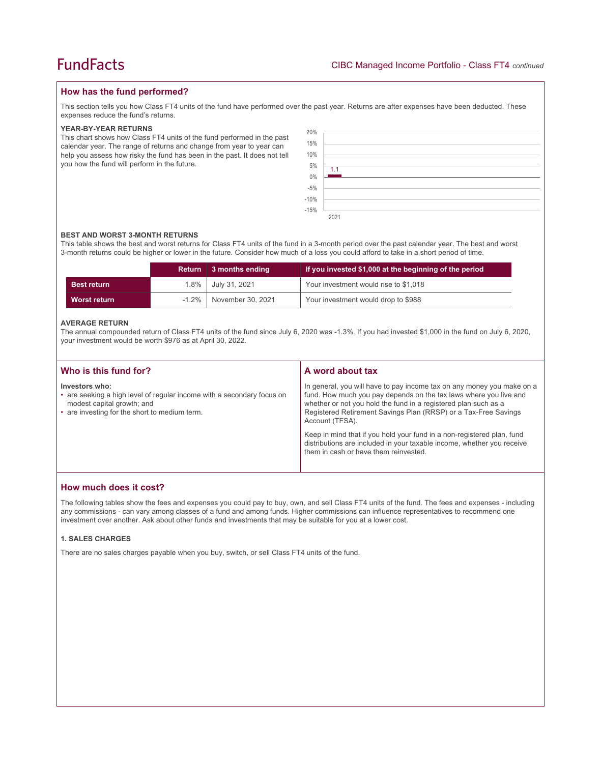## **How has the fund performed?**

This section tells you how Class FT4 units of the fund have performed over the past year. Returns are after expenses have been deducted. These expenses reduce the fund's returns.

### **YEAR-BY-YEAR RETURNS**

This chart shows how Class FT4 units of the fund performed in the past calendar year. The range of returns and change from year to year can help you assess how risky the fund has been in the past. It does not tell you how the fund will perform in the future.

| 20%                          |      |
|------------------------------|------|
| 15%                          |      |
|                              |      |
| 10%                          |      |
| 5%                           | 1.1  |
| $0\%$                        |      |
|                              |      |
| $-5\%$<br>$-10\%$<br>$-15\%$ |      |
|                              |      |
|                              | 2021 |

#### **BEST AND WORST 3-MONTH RETURNS**

This table shows the best and worst returns for Class FT4 units of the fund in a 3-month period over the past calendar year. The best and worst 3-month returns could be higher or lower in the future. Consider how much of a loss you could afford to take in a short period of time.

|                    | Return   | $\parallel$ 3 months ending | If you invested \$1,000 at the beginning of the period |
|--------------------|----------|-----------------------------|--------------------------------------------------------|
| <b>Best return</b> | $1.8\%$  | July 31, 2021               | Your investment would rise to \$1,018                  |
| Worst return       | $-1.2\%$ | November 30, 2021           | Your investment would drop to \$988                    |

#### **AVERAGE RETURN**

The annual compounded return of Class FT4 units of the fund since July 6, 2020 was -1.3%. If you had invested \$1,000 in the fund on July 6, 2020, your investment would be worth \$976 as at April 30, 2022.

| Who is this fund for?                                                                                                                                                   | A word about tax                                                                                                                                                                                                                                                                                     |
|-------------------------------------------------------------------------------------------------------------------------------------------------------------------------|------------------------------------------------------------------------------------------------------------------------------------------------------------------------------------------------------------------------------------------------------------------------------------------------------|
| Investors who:<br>• are seeking a high level of regular income with a secondary focus on<br>modest capital growth; and<br>• are investing for the short to medium term. | In general, you will have to pay income tax on any money you make on a<br>fund. How much you pay depends on the tax laws where you live and<br>whether or not you hold the fund in a registered plan such as a<br>Registered Retirement Savings Plan (RRSP) or a Tax-Free Savings<br>Account (TFSA). |
|                                                                                                                                                                         | Keep in mind that if you hold your fund in a non-registered plan, fund<br>distributions are included in your taxable income, whether you receive<br>them in cash or have them reinvested.                                                                                                            |

## **How much does it cost?**

The following tables show the fees and expenses you could pay to buy, own, and sell Class FT4 units of the fund. The fees and expenses - including any commissions - can vary among classes of a fund and among funds. Higher commissions can influence representatives to recommend one investment over another. Ask about other funds and investments that may be suitable for you at a lower cost.

## **1. SALES CHARGES**

There are no sales charges payable when you buy, switch, or sell Class FT4 units of the fund.